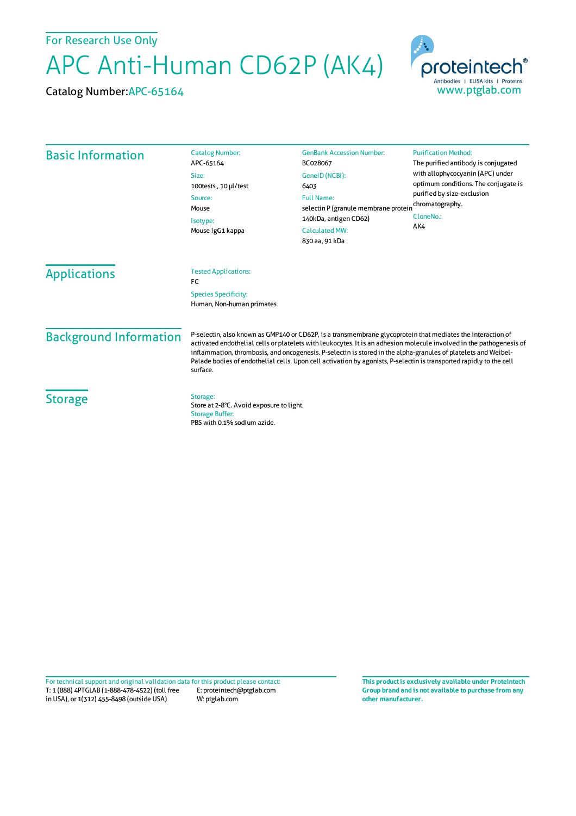For Research Use Only

APC Anti-Human CD62P (AK4)

Catalog Number:APC-65164



| <b>Basic Information</b> | <b>Catalog Number:</b><br>APC-65164                                               | <b>GenBank Accession Number:</b><br>BC028067                                                                                                            | <b>Purification Method:</b><br>The purified antibody is conjugated<br>with allophycocyanin (APC) under<br>optimum conditions. The conjugate is<br>purified by size-exclusion<br>chromatography.<br>CloneNo.:<br>AK4 |                               |                                                                                                                                                                                                                                                                                                                                                                                                                                                                                          |  |  |
|--------------------------|-----------------------------------------------------------------------------------|---------------------------------------------------------------------------------------------------------------------------------------------------------|---------------------------------------------------------------------------------------------------------------------------------------------------------------------------------------------------------------------|-------------------------------|------------------------------------------------------------------------------------------------------------------------------------------------------------------------------------------------------------------------------------------------------------------------------------------------------------------------------------------------------------------------------------------------------------------------------------------------------------------------------------------|--|--|
|                          | Size:<br>100tests, 10 µl/test<br>Source:<br>Mouse<br>Isotype:<br>Mouse IgG1 kappa | GeneID (NCBI):<br>6403<br><b>Full Name:</b><br>selectin P (granule membrane protein<br>140kDa, antigen CD62)<br><b>Calculated MW:</b><br>830 aa, 91 kDa |                                                                                                                                                                                                                     |                               |                                                                                                                                                                                                                                                                                                                                                                                                                                                                                          |  |  |
|                          |                                                                                   |                                                                                                                                                         |                                                                                                                                                                                                                     | <b>Applications</b>           | <b>Tested Applications:</b><br>FC<br><b>Species Specificity:</b><br>Human, Non-human primates                                                                                                                                                                                                                                                                                                                                                                                            |  |  |
|                          |                                                                                   |                                                                                                                                                         |                                                                                                                                                                                                                     | <b>Background Information</b> | P-selectin, also known as GMP140 or CD62P, is a transmembrane glycoprotein that mediates the interaction of<br>activated endothelial cells or platelets with leukocytes. It is an adhesion molecule involved in the pathogenesis of<br>inflammation, thrombosis, and oncogenesis. P-selectin is stored in the alpha-granules of platelets and Weibel-<br>Palade bodies of endothelial cells. Upon cell activation by agonists, P-selectin is transported rapidly to the cell<br>surface. |  |  |
|                          |                                                                                   |                                                                                                                                                         |                                                                                                                                                                                                                     | <b>Storage</b>                | Storage:<br>Store at 2-8°C. Avoid exposure to light.<br><b>Storage Buffer:</b>                                                                                                                                                                                                                                                                                                                                                                                                           |  |  |

PBS with 0.1% sodium azide.

T: 1 (888) 4PTGLAB (1-888-478-4522) (toll free in USA), or 1(312) 455-8498 (outside USA) E: proteintech@ptglab.com W: ptglab.com Fortechnical support and original validation data forthis product please contact: **This productis exclusively available under Proteintech**

**Group brand and is not available to purchase from any other manufacturer.**